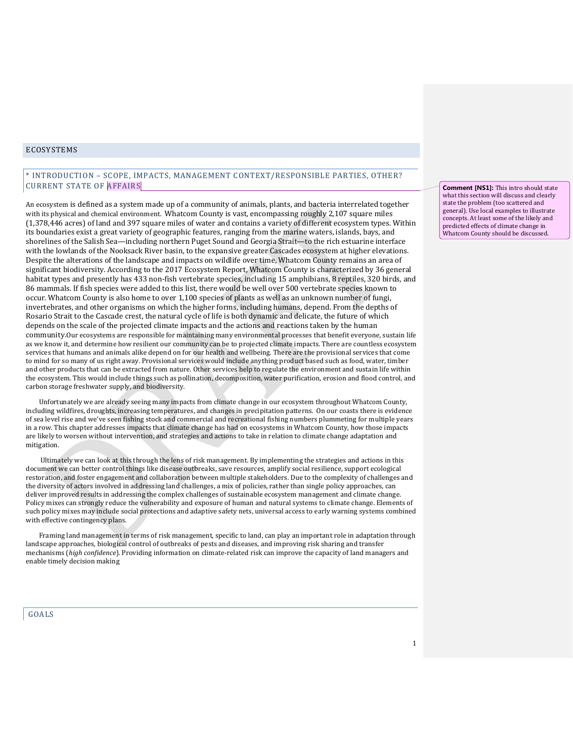# ECOSYSTEMS

# \* INTRODUCTION – SCOPE, IMPACTS, MANAGEMENT CONTEXT/RESPONSIBLE PARTIES, OTHER? CURRENT STATE OF AFFAIRS

An ecosystem is defined as a system made up of a community of animals, plants, and bacteria interrelated together with its physical and chemical environment. Whatcom County is vast, encompassing roughly 2,107 square miles (1,378,446 acres) of land and 397 square miles of water and contains a variety of different ecosystem types. Within its boundaries exist a great variety of geographic features, ranging from the marine waters, islands, bays, and shorelines of the Salish Sea—including northern Puget Sound and Georgia Strait—to the rich estuarine interface with the lowlands of the Nooksack River basin, to the expansive greater Cascades ecosystem at higher elevations. Despite the alterations of the landscape and impacts on wildlife over time, Whatcom County remains an area of significant biodiversity. According to the 2017 Ecosystem Report, Whatcom County is characterized by 36 general habitat types and presently has 433 non-fish vertebrate species, including 15 amphibians, 8 reptiles, 320 birds, and 86 mammals. If fish species were added to this list, there would be well over 500 vertebrate species known to occur. Whatcom County is also home to over 1,100 species of plants as well as an unknown number of fungi, invertebrates, and other organisms on which the higher forms, including humans, depend. From the depths of Rosario Strait to the Cascade crest, the natural cycle of life is both dynamic and delicate, the future of which depends on the scale of the projected climate impacts and the actions and reactions taken by the human community.Our ecosystems are responsible for maintaining many environmental processes that benefit everyone, sustain life as we know it, and determine how resilient our community can be to projected climate impacts. There are countless ecosystem services that humans and animals alike depend on for our health and wellbeing. There are the provisional services that come to mind for so many of us right away. Provisional services would include anything product based such as food, water, timber and other products that can be extracted from nature. Other services help to regulate the environment and sustain life within the ecosystem. This would include things such as pollination, decomposition, water purification, erosion and flood control, and carbon storage freshwater supply, and biodiversity.

Unfortunately we are already seeing many impacts from climate change in our ecosystem throughout Whatcom County, including wildfires, droughts, increasing temperatures, and changes in precipitation patterns. On our coasts there is evidence of sea level rise and we've seen fishing stock and commercial and recreational fishing numbers plummeting for multiple years in a row. This chapter addresses impacts that climate change has had on ecosystems in Whatcom County, how those impacts are likely to worsen without intervention, and strategies and actions to take in relation to climate change adaptation and mitigation.

Ultimately we can look at this through the lens of risk management. By implementing the strategies and actions in this document we can better control things like disease outbreaks, save resources, amplify social resilience, support ecological restoration, and foster engagement and collaboration between multiple stakeholders. Due to the complexity of challenges and the diversity of actors involved in addressing land challenges, a mix of policies, rather than single policy approaches, can deliver improved results in addressing the complex challenges of sustainable ecosystem management and climate change. Policy mixes can strongly reduce the vulnerability and exposure of human and natural systems to climate change. Elements of such policy mixes may include social protections and adaptive safety nets, universal access to early warning systems combined with effective contingency plans.

Framing land management in terms of risk management, specific to land, can play an important role in adaptation through landscape approaches, biological control of outbreaks of pests and diseases, and improving risk sharing and transfer mechanisms (*high confidence*). Providing information on climate-related risk can improve the capacity of land managers and enable timely decision making

GOALS

**Comment [NS1]:** This intro should state what this section will discuss and clearly state the problem (too scattered and general). Use local examples to illustrate concepts. At least some of the likely and predicted effects of climate change in Whatcom County should be discussed.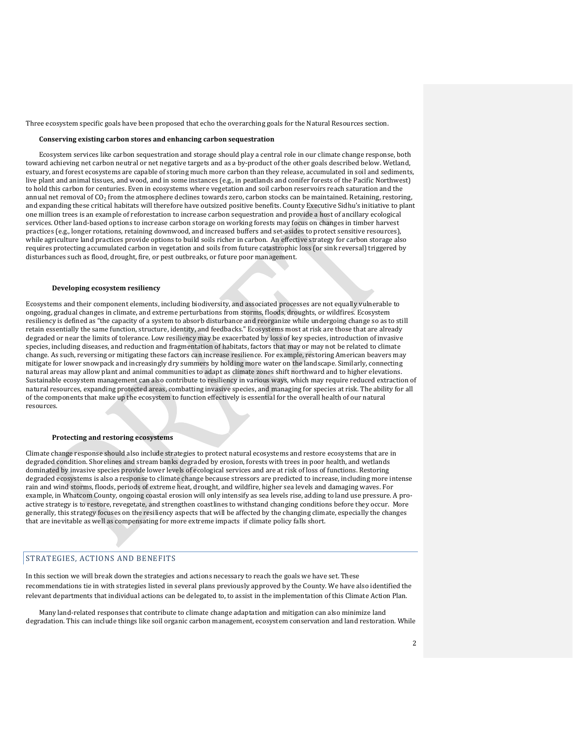Three ecosystem specific goals have been proposed that echo the overarching goals for the Natural Resources section.

### **Conserving existing carbon stores and enhancing carbon sequestration**

Ecosystem services like carbon sequestration and storage should play a central role in our climate change response, both toward achieving net carbon neutral or net negative targets and as a by-product of the other goals described below. Wetland, estuary, and forest ecosystems are capable of storing much more carbon than they release, accumulated in soil and sediments, live plant and animal tissues, and wood, and in some instances (e.g., in peatlands and conifer forests of the Pacific Northwest) to hold this carbon for centuries. Even in ecosystems where vegetation and soil carbon reservoirs reach saturation and the annual net removal of CO2 from the atmosphere declines towards zero, carbon stocks can be maintained. Retaining, restoring, and expanding these critical habitats will therefore have outsized positive benefits. County Executive Sidhu's initiative to plant one million trees is an example of reforestation to increase carbon sequestration and provide a host of ancillary ecological services. Other land-based options to increase carbon storage on working forests may focus on changes in timber harvest practices (e.g., longer rotations, retaining downwood, and increased buffers and set-asides to protect sensitive resources), while agriculture land practices provide options to build soils richer in carbon. An effective strategy for carbon storage also requires protecting accumulated carbon in vegetation and soils from future catastrophic loss (or sink reversal) triggered by disturbances such as flood, drought, fire, or pest outbreaks, or future poor management.

#### **Developing ecosystem resiliency**

Ecosystems and their component elements, including biodiversity, and associated processes are not equally vulnerable to ongoing, gradual changes in climate, and extreme perturbations from storms, floods, droughts, or wildfires. Ecosystem resiliency is defined as "the capacity of a system to absorb disturbance and reorganize while undergoing change so as to still retain essentially the same function, structure, identity, and feedbacks." Ecosystems most at risk are those that are already degraded or near the limits of tolerance. Low resiliency may be exacerbated by loss of key species, introduction of invasive species, including diseases, and reduction and fragmentation of habitats, factors that may or may not be related to climate change. As such, reversing or mitigating these factors can increase resilience. For example, restoring American beavers may mitigate for lower snowpack and increasingly dry summers by holding more water on the landscape. Similarly, connecting natural areas may allow plant and animal communities to adapt as climate zones shift northward and to higher elevations. Sustainable ecosystem management can also contribute to resiliency in various ways, which may require reduced extraction of natural resources, expanding protected areas, combatting invasive species, and managing for species at risk. The ability for all of the components that make up the ecosystem to function effectively is essential for the overall health of our natural resources.

### **Protecting and restoring ecosystems**

Climate change response should also include strategies to protect natural ecosystems and restore ecosystems that are in degraded condition. Shorelines and stream banks degraded by erosion, forests with trees in poor health, and wetlands dominated by invasive species provide lower levels of ecological services and are at risk of loss of functions. Restoring degraded ecosystems is also a response to climate change because stressors are predicted to increase, including more intense rain and wind storms, floods, periods of extreme heat, drought, and wildfire, higher sea levels and damaging waves. For example, in Whatcom County, ongoing coastal erosion will only intensify as sea levels rise, adding to land use pressure. A proactive strategy is to restore, revegetate, and strengthen coastlines to withstand changing conditions before they occur. More generally, this strategy focuses on the resiliency aspects that will be affected by the changing climate, especially the changes that are inevitable as well as compensating for more extreme impacts if climate policy falls short.

## STRATEGIES, ACTIONS AND BENEFITS

In this section we will break down the strategies and actions necessary to reach the goals we have set. These recommendations tie in with strategies listed in several plans previously approved by the County. We have also identified the relevant departments that individual actions can be delegated to, to assist in the implementation of this Climate Action Plan.

Many land-related responses that contribute to climate change adaptation and mitigation can also minimize land degradation. This can include things like soil organic carbon management, ecosystem conservation and land restoration. While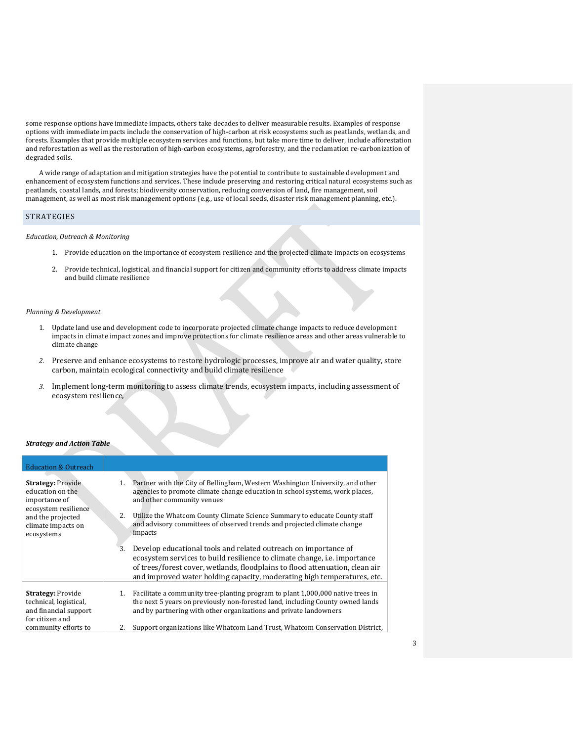some response options have immediate impacts, others take decades to deliver measurable results. Examples of response options with immediate impacts include the conservation of high-carbon at risk ecosystems such as peatlands, wetlands, and forests. Examples that provide multiple ecosystem services and functions, but take more time to deliver, include afforestation and reforestation as well as the restoration of high-carbon ecosystems, agroforestry, and the reclamation re-carbonization of degraded soils.

A wide range of adaptation and mitigation strategies have the potential to contribute to sustainable development and enhancement of ecosystem functions and services. These include preserving and restoring critical natural ecosystems such as peatlands, coastal lands, and forests; biodiversity conservation, reducing conversion of land, fire management, soil management, as well as most risk management options (e.g., use of local seeds, disaster risk management planning, etc.).

## STRATEGIES

### *Education, Outreach & Monitoring*

- 1. Provide education on the importance of ecosystem resilience and the projected climate impacts on ecosystems
- 2. Provide technical, logistical, and financial support for citizen and community efforts to address climate impacts and build climate resilience

### *Planning & Development*

- 1. Update land use and development code to incorporate projected climate change impacts to reduce development impacts in climate impact zones and improve protections for climate resilience areas and other areas vulnerable to climate change
- *2.* Preserve and enhance ecosystems to restore hydrologic processes, improve air and water quality, store carbon, maintain ecological connectivity and build climate resilience
- *3.* Implement long-term monitoring to assess climate trends, ecosystem impacts, including assessment of ecosystem resilience,

### *Strategy and Action Table*

| <b>Education &amp; Outreach</b>                                                                                                                |                                                                                                                                                                                                                                                                                                                                                                                                                                                                                                                                                                                                                                                                                                  |
|------------------------------------------------------------------------------------------------------------------------------------------------|--------------------------------------------------------------------------------------------------------------------------------------------------------------------------------------------------------------------------------------------------------------------------------------------------------------------------------------------------------------------------------------------------------------------------------------------------------------------------------------------------------------------------------------------------------------------------------------------------------------------------------------------------------------------------------------------------|
| <b>Strategy: Provide</b><br>education on the<br>importance of<br>ecosystem resilience<br>and the projected<br>climate impacts on<br>ecosystems | 1. Partner with the City of Bellingham, Western Washington University, and other<br>agencies to promote climate change education in school systems, work places,<br>and other community venues<br>2.<br>Utilize the Whatcom County Climate Science Summary to educate County staff<br>and advisory committees of observed trends and projected climate change<br>impacts<br>Develop educational tools and related outreach on importance of<br>3.<br>ecosystem services to build resilience to climate change, <i>i.e.</i> importance<br>of trees/forest cover, wetlands, floodplains to flood attenuation, clean air<br>and improved water holding capacity, moderating high temperatures, etc. |
| <b>Strategy: Provide</b><br>technical, logistical,<br>and financial support<br>for citizen and<br>community efforts to                         | 1. Facilitate a community tree-planting program to plant 1,000,000 native trees in<br>the next 5 years on previously non-forested land, including County owned lands<br>and by partnering with other organizations and private landowners<br>Support organizations like Whatcom Land Trust, Whatcom Conservation District,<br>2.                                                                                                                                                                                                                                                                                                                                                                 |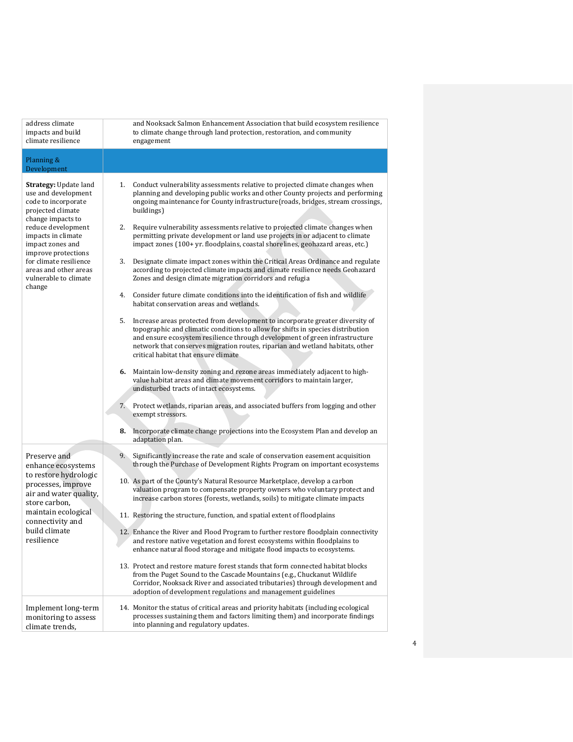| address climate<br>impacts and build<br>climate resilience                                                                                                                                                                                                                                 | and Nooksack Salmon Enhancement Association that build ecosystem resilience<br>to climate change through land protection, restoration, and community<br>engagement                                                                                                                                                                                                             |
|--------------------------------------------------------------------------------------------------------------------------------------------------------------------------------------------------------------------------------------------------------------------------------------------|--------------------------------------------------------------------------------------------------------------------------------------------------------------------------------------------------------------------------------------------------------------------------------------------------------------------------------------------------------------------------------|
| Planning &<br>Development                                                                                                                                                                                                                                                                  |                                                                                                                                                                                                                                                                                                                                                                                |
| Strategy: Update land<br>use and development<br>code to incorporate<br>projected climate<br>change impacts to<br>reduce development<br>impacts in climate<br>impact zones and<br>improve protections<br>for climate resilience<br>areas and other areas<br>vulnerable to climate<br>change | 1. Conduct vulnerability assessments relative to projected climate changes when<br>planning and developing public works and other County projects and performing<br>ongoing maintenance for County infrastructure(roads, bridges, stream crossings,<br>buildings)                                                                                                              |
|                                                                                                                                                                                                                                                                                            | 2.<br>Require vulnerability assessments relative to projected climate changes when<br>permitting private development or land use projects in or adjacent to climate<br>impact zones (100+ yr. floodplains, coastal shorelines, geohazard areas, etc.)                                                                                                                          |
|                                                                                                                                                                                                                                                                                            | Designate climate impact zones within the Critical Areas Ordinance and regulate<br>3.<br>according to projected climate impacts and climate resilience needs Geohazard<br>Zones and design climate migration corridors and refugia                                                                                                                                             |
|                                                                                                                                                                                                                                                                                            | 4. Consider future climate conditions into the identification of fish and wildlife<br>habitat conservation areas and wetlands.                                                                                                                                                                                                                                                 |
|                                                                                                                                                                                                                                                                                            | 5.<br>Increase areas protected from development to incorporate greater diversity of<br>topographic and climatic conditions to allow for shifts in species distribution<br>and ensure ecosystem resilience through development of green infrastructure<br>network that conserves migration routes, riparian and wetland habitats, other<br>critical habitat that ensure climate |
|                                                                                                                                                                                                                                                                                            | 6. Maintain low-density zoning and rezone areas immediately adjacent to high-<br>value habitat areas and climate movement corridors to maintain larger,<br>undisturbed tracts of intact ecosystems.                                                                                                                                                                            |
|                                                                                                                                                                                                                                                                                            | 7. Protect wetlands, riparian areas, and associated buffers from logging and other<br>exempt stressors.                                                                                                                                                                                                                                                                        |
|                                                                                                                                                                                                                                                                                            | 8. Incorporate climate change projections into the Ecosystem Plan and develop an<br>adaptation plan.                                                                                                                                                                                                                                                                           |
| Preserve and<br>enhance ecosystems<br>to restore hydrologic<br>processes, improve<br>air and water quality,<br>store carbon.<br>maintain ecological<br>connectivity and<br>build climate<br>resilience                                                                                     | 9.<br>Significantly increase the rate and scale of conservation easement acquisition<br>through the Purchase of Development Rights Program on important ecosystems                                                                                                                                                                                                             |
|                                                                                                                                                                                                                                                                                            | 10. As part of the County's Natural Resource Marketplace, develop a carbon<br>valuation program to compensate property owners who voluntary protect and<br>increase carbon stores (forests, wetlands, soils) to mitigate climate impacts                                                                                                                                       |
|                                                                                                                                                                                                                                                                                            | 11. Restoring the structure, function, and spatial extent of floodplains                                                                                                                                                                                                                                                                                                       |
|                                                                                                                                                                                                                                                                                            | 12. Enhance the River and Flood Program to further restore floodplain connectivity<br>and restore native vegetation and forest ecosystems within floodplains to<br>enhance natural flood storage and mitigate flood impacts to ecosystems.                                                                                                                                     |
|                                                                                                                                                                                                                                                                                            | 13. Protect and restore mature forest stands that form connected habitat blocks<br>from the Puget Sound to the Cascade Mountains (e.g., Chuckanut Wildlife<br>Corridor, Nooksack River and associated tributaries) through development and<br>adoption of development regulations and management guidelines                                                                    |
| Implement long-term<br>monitoring to assess<br>climate trends,                                                                                                                                                                                                                             | 14. Monitor the status of critical areas and priority habitats (including ecological<br>processes sustaining them and factors limiting them) and incorporate findings<br>into planning and regulatory updates.                                                                                                                                                                 |